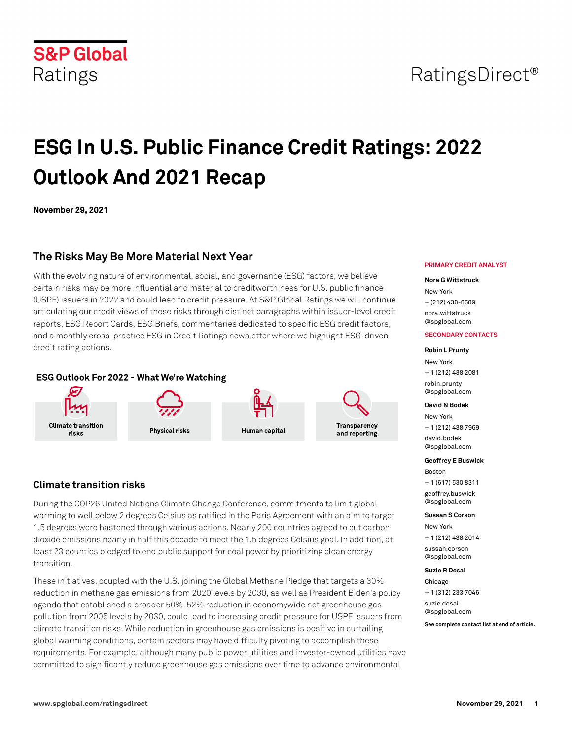# **S&P Global** Ratings

# **ESG In U.S. Public Finance Credit Ratings: 2022 Outlook And 2021 Recap**

Human capital

**November 29, 2021**

# **The Risks May Be More Material Next Year**

With the evolving nature of environmental, social, and governance (ESG) factors, we believe certain risks may be more influential and material to creditworthiness for U.S. public finance (USPF) issuers in 2022 and could lead to credit pressure. At S&P Global Ratings we will continue articulating our credit views of these risks through distinct paragraphs within issuer-level credit reports, ESG Report Cards, ESG Briefs, commentaries dedicated to specific ESG credit factors, and a monthly cross-practice ESG in Credit Ratings newsletter where we highlight ESG-driven credit rating actions.

# ESG Outlook For 2022 - What We're Watching

**Physical risks** 



**Climate transition** 

risks

During the COP26 United Nations Climate Change Conference, commitments to limit global warming to well below 2 degrees Celsius as ratified in the Paris Agreement with an aim to target 1.5 degrees were hastened through various actions. Nearly 200 countries agreed to cut carbon dioxide emissions nearly in half this decade to meet the 1.5 degrees Celsius goal. In addition, at least 23 counties pledged to end public support for coal power by prioritizing clean energy transition.

These initiatives, coupled with the U.S. joining the Global Methane Pledge that targets a 30% reduction in methane gas emissions from 2020 levels by 2030, as well as President Biden's policy agenda that established a broader 50%-52% reduction in economywide net greenhouse gas pollution from 2005 levels by 2030, could lead to increasing credit pressure for USPF issuers from climate transition risks. While reduction in greenhouse gas emissions is positive in curtailing global warming conditions, certain sectors may have difficulty pivoting to accomplish these requirements. For example, although many public power utilities and investor-owned utilities have committed to significantly reduce greenhouse gas emissions over time to advance environmental

### **PRIMARY CREDIT ANALYST**

### **Nora G Wittstruck**

New York + (212) 438-8589 [nora.wittstruck](mailto: nora.wittstruck@spglobal.com) [@spglobal.com](mailto: nora.wittstruck@spglobal.com)

### **SECONDARY CONTACTS**

**Robin L Prunty** New York + 1 (212) 438 2081 [robin.prunty](mailto: robin.prunty@spglobal.com) [@spglobal.com](mailto: robin.prunty@spglobal.com)

### **David N Bodek**

Transparency

and reporting

New York + 1 (212) 438 7969 [david.bodek](mailto: david.bodek@spglobal.com) [@spglobal.com](mailto: david.bodek@spglobal.com)

**Geoffrey E Buswick**

Boston + 1 (617) 530 8311

[geoffrey.buswick](mailto: geoffrey.buswick@spglobal.com) [@spglobal.com](mailto: geoffrey.buswick@spglobal.com)

### **Sussan S Corson**

New York + 1 (212) 438 2014 [sussan.corson](mailto: sussan.corson@spglobal.com)

[@spglobal.com](mailto: sussan.corson@spglobal.com)

### **Suzie R Desai**

Chicago + 1 (312) 233 7046

[suzie.desai](mailto: suzie.desai@spglobal.com) [@spglobal.com](mailto: suzie.desai@spglobal.com)

**See complete contact list at end of article.**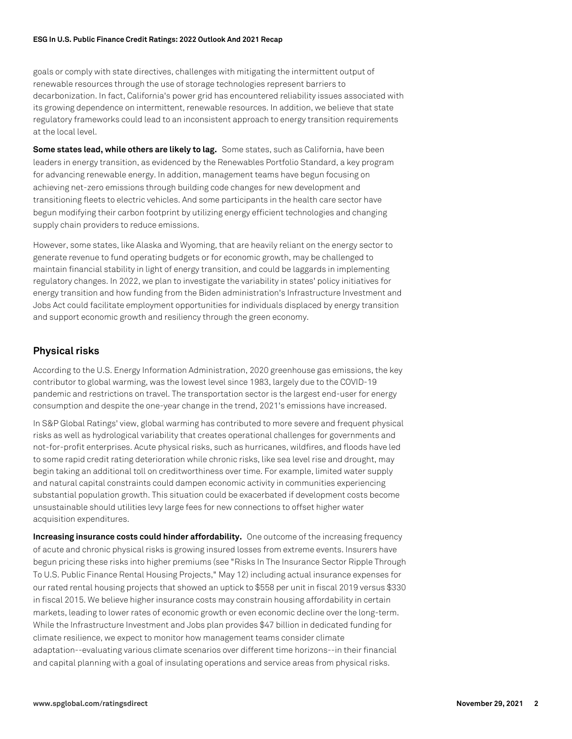### **ESG In U.S. Public Finance Credit Ratings: 2022 Outlook And 2021 Recap**

goals or comply with state directives, challenges with mitigating the intermittent output of renewable resources through the use of storage technologies represent barriers to decarbonization. In fact, California's power grid has encountered reliability issues associated with its growing dependence on intermittent, renewable resources. In addition, we believe that state regulatory frameworks could lead to an inconsistent approach to energy transition requirements at the local level.

**Some states lead, while others are likely to lag.** Some states, such as California, have been leaders in energy transition, as evidenced by the Renewables Portfolio Standard, a key program for advancing renewable energy. In addition, management teams have begun focusing on achieving net-zero emissions through building code changes for new development and transitioning fleets to electric vehicles. And some participants in the health care sector have begun modifying their carbon footprint by utilizing energy efficient technologies and changing supply chain providers to reduce emissions.

However, some states, like Alaska and Wyoming, that are heavily reliant on the energy sector to generate revenue to fund operating budgets or for economic growth, may be challenged to maintain financial stability in light of energy transition, and could be laggards in implementing regulatory changes. In 2022, we plan to investigate the variability in states' policy initiatives for energy transition and how funding from the Biden administration's Infrastructure Investment and Jobs Act could facilitate employment opportunities for individuals displaced by energy transition and support economic growth and resiliency through the green economy.

# **Physical risks**

According to the U.S. Energy Information Administration, 2020 greenhouse gas emissions, the key contributor to global warming, was the lowest level since 1983, largely due to the COVID-19 pandemic and restrictions on travel. The transportation sector is the largest end-user for energy consumption and despite the one-year change in the trend, 2021's emissions have increased.

In S&P Global Ratings' view, global warming has contributed to more severe and frequent physical risks as well as hydrological variability that creates operational challenges for governments and not-for-profit enterprises. Acute physical risks, such as hurricanes, wildfires, and floods have led to some rapid credit rating deterioration while chronic risks, like sea level rise and drought, may begin taking an additional toll on creditworthiness over time. For example, limited water supply and natural capital constraints could dampen economic activity in communities experiencing substantial population growth. This situation could be exacerbated if development costs become unsustainable should utilities levy large fees for new connections to offset higher water acquisition expenditures.

**Increasing insurance costs could hinder affordability.** One outcome of the increasing frequency of acute and chronic physical risks is growing insured losses from extreme events. Insurers have begun pricing these risks into higher premiums (see "Risks In The Insurance Sector Ripple Through To U.S. Public Finance Rental Housing Projects," May 12) including actual insurance expenses for our rated rental housing projects that showed an uptick to \$558 per unit in fiscal 2019 versus \$330 in fiscal 2015. We believe higher insurance costs may constrain housing affordability in certain markets, leading to lower rates of economic growth or even economic decline over the long-term. While the Infrastructure Investment and Jobs plan provides \$47 billion in dedicated funding for climate resilience, we expect to monitor how management teams consider climate adaptation--evaluating various climate scenarios over different time horizons--in their financial and capital planning with a goal of insulating operations and service areas from physical risks.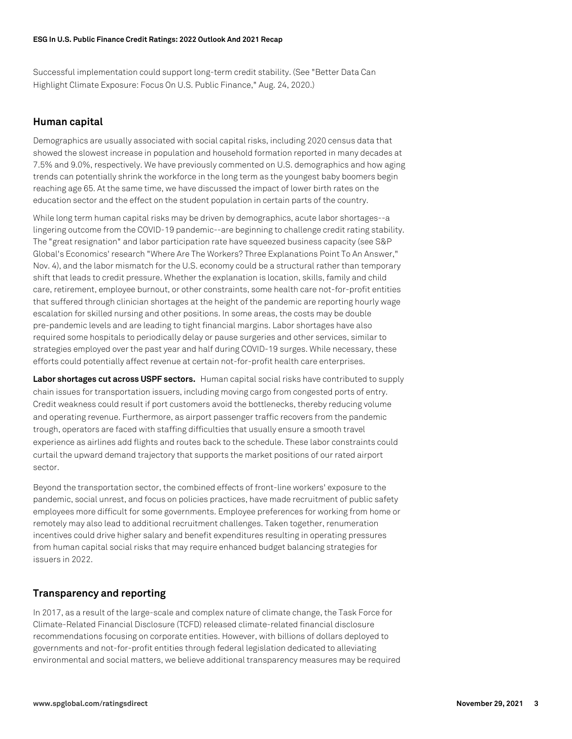Successful implementation could support long-term credit stability. (See "Better Data Can Highlight Climate Exposure: Focus On U.S. Public Finance," Aug. 24, 2020.)

# **Human capital**

Demographics are usually associated with social capital risks, including 2020 census data that showed the slowest increase in population and household formation reported in many decades at 7.5% and 9.0%, respectively. We have previously commented on U.S. demographics and how aging trends can potentially shrink the workforce in the long term as the youngest baby boomers begin reaching age 65. At the same time, we have discussed the impact of lower birth rates on the education sector and the effect on the student population in certain parts of the country.

While long term human capital risks may be driven by demographics, acute labor shortages--a lingering outcome from the COVID-19 pandemic--are beginning to challenge credit rating stability. The "great resignation" and labor participation rate have squeezed business capacity (see S&P Global's Economics' research "Where Are The Workers? Three Explanations Point To An Answer," Nov. 4), and the labor mismatch for the U.S. economy could be a structural rather than temporary shift that leads to credit pressure. Whether the explanation is location, skills, family and child care, retirement, employee burnout, or other constraints, some health care not-for-profit entities that suffered through clinician shortages at the height of the pandemic are reporting hourly wage escalation for skilled nursing and other positions. In some areas, the costs may be double pre-pandemic levels and are leading to tight financial margins. Labor shortages have also required some hospitals to periodically delay or pause surgeries and other services, similar to strategies employed over the past year and half during COVID-19 surges. While necessary, these efforts could potentially affect revenue at certain not-for-profit health care enterprises.

**Labor shortages cut across USPF sectors.** Human capital social risks have contributed to supply chain issues for transportation issuers, including moving cargo from congested ports of entry. Credit weakness could result if port customers avoid the bottlenecks, thereby reducing volume and operating revenue. Furthermore, as airport passenger traffic recovers from the pandemic trough, operators are faced with staffing difficulties that usually ensure a smooth travel experience as airlines add flights and routes back to the schedule. These labor constraints could curtail the upward demand trajectory that supports the market positions of our rated airport sector.

Beyond the transportation sector, the combined effects of front-line workers' exposure to the pandemic, social unrest, and focus on policies practices, have made recruitment of public safety employees more difficult for some governments. Employee preferences for working from home or remotely may also lead to additional recruitment challenges. Taken together, renumeration incentives could drive higher salary and benefit expenditures resulting in operating pressures from human capital social risks that may require enhanced budget balancing strategies for issuers in 2022.

# **Transparency and reporting**

In 2017, as a result of the large-scale and complex nature of climate change, the Task Force for Climate-Related Financial Disclosure (TCFD) released climate-related financial disclosure recommendations focusing on corporate entities. However, with billions of dollars deployed to governments and not-for-profit entities through federal legislation dedicated to alleviating environmental and social matters, we believe additional transparency measures may be required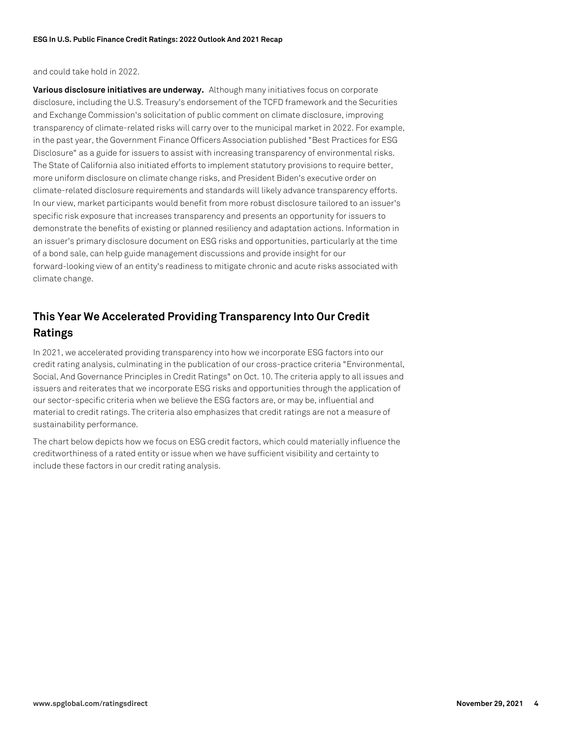and could take hold in 2022.

**Various disclosure initiatives are underway.** Although many initiatives focus on corporate disclosure, including the U.S. Treasury's endorsement of the TCFD framework and the Securities and Exchange Commission's solicitation of public comment on climate disclosure, improving transparency of climate-related risks will carry over to the municipal market in 2022. For example, in the past year, the Government Finance Officers Association published "Best Practices for ESG Disclosure" as a guide for issuers to assist with increasing transparency of environmental risks. The State of California also initiated efforts to implement statutory provisions to require better, more uniform disclosure on climate change risks, and President Biden's executive order on climate-related disclosure requirements and standards will likely advance transparency efforts. In our view, market participants would benefit from more robust disclosure tailored to an issuer's specific risk exposure that increases transparency and presents an opportunity for issuers to demonstrate the benefits of existing or planned resiliency and adaptation actions. Information in an issuer's primary disclosure document on ESG risks and opportunities, particularly at the time of a bond sale, can help guide management discussions and provide insight for our forward-looking view of an entity's readiness to mitigate chronic and acute risks associated with climate change.

# **This Year We Accelerated Providing Transparency Into Our Credit Ratings**

In 2021, we accelerated providing transparency into how we incorporate ESG factors into our credit rating analysis, culminating in the publication of our cross-practice criteria "Environmental, Social, And Governance Principles in Credit Ratings" on Oct. 10. The criteria apply to all issues and issuers and reiterates that we incorporate ESG risks and opportunities through the application of our sector-specific criteria when we believe the ESG factors are, or may be, influential and material to credit ratings. The criteria also emphasizes that credit ratings are not a measure of sustainability performance.

The chart below depicts how we focus on ESG credit factors, which could materially influence the creditworthiness of a rated entity or issue when we have sufficient visibility and certainty to include these factors in our credit rating analysis.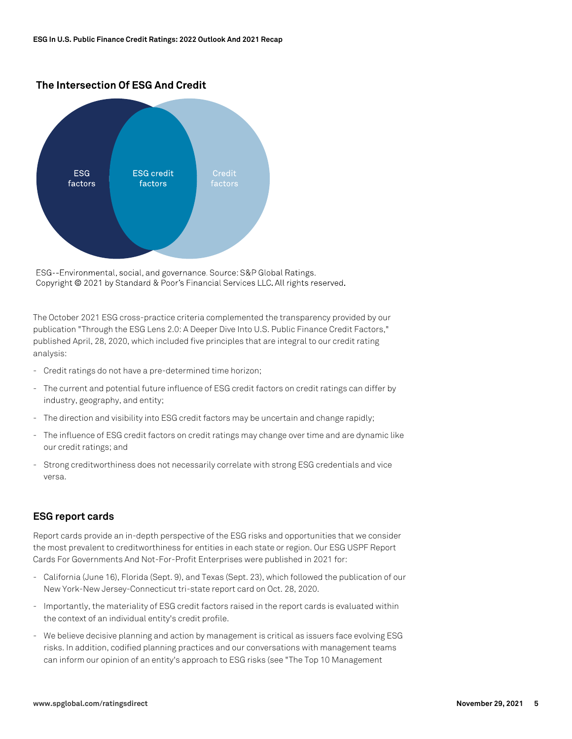# The Intersection Of ESG And Credit



ESG--Environmental, social, and governance. Source: S&P Global Ratings. Copyright @ 2021 by Standard & Poor's Financial Services LLC. All rights reserved.

The October 2021 ESG cross-practice criteria complemented the transparency provided by our publication "Through the ESG Lens 2.0: A Deeper Dive Into U.S. Public Finance Credit Factors," published April, 28, 2020, which included five principles that are integral to our credit rating analysis:

- Credit ratings do not have a pre-determined time horizon;
- The current and potential future influence of ESG credit factors on credit ratings can differ by industry, geography, and entity;
- The direction and visibility into ESG credit factors may be uncertain and change rapidly;
- The influence of ESG credit factors on credit ratings may change over time and are dynamic like our credit ratings; and
- Strong creditworthiness does not necessarily correlate with strong ESG credentials and vice versa.

## **ESG report cards**

Report cards provide an in-depth perspective of the ESG risks and opportunities that we consider the most prevalent to creditworthiness for entities in each state or region. Our ESG USPF Report Cards For Governments And Not-For-Profit Enterprises were published in 2021 for:

- California (June 16), Florida (Sept. 9), and Texas (Sept. 23), which followed the publication of our New York-New Jersey-Connecticut tri-state report card on Oct. 28, 2020.
- Importantly, the materiality of ESG credit factors raised in the report cards is evaluated within the context of an individual entity's credit profile.
- We believe decisive planning and action by management is critical as issuers face evolving ESG risks. In addition, codified planning practices and our conversations with management teams can inform our opinion of an entity's approach to ESG risks (see "The Top 10 Management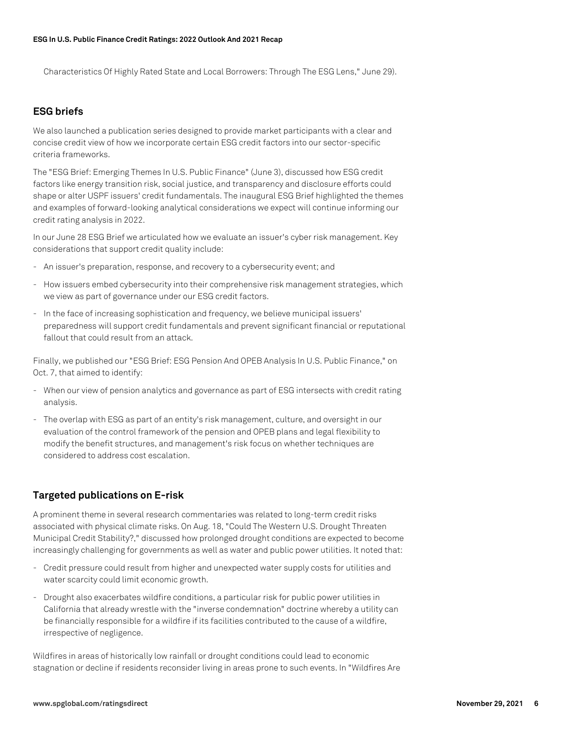Characteristics Of Highly Rated State and Local Borrowers: Through The ESG Lens," June 29).

# **ESG briefs**

We also launched a publication series designed to provide market participants with a clear and concise credit view of how we incorporate certain ESG credit factors into our sector-specific criteria frameworks.

The "ESG Brief: Emerging Themes In U.S. Public Finance" (June 3), discussed how ESG credit factors like energy transition risk, social justice, and transparency and disclosure efforts could shape or alter USPF issuers' credit fundamentals. The inaugural ESG Brief highlighted the themes and examples of forward-looking analytical considerations we expect will continue informing our credit rating analysis in 2022.

In our June 28 ESG Brief we articulated how we evaluate an issuer's cyber risk management. Key considerations that support credit quality include:

- An issuer's preparation, response, and recovery to a cybersecurity event; and
- How issuers embed cybersecurity into their comprehensive risk management strategies, which we view as part of governance under our ESG credit factors.
- In the face of increasing sophistication and frequency, we believe municipal issuers' preparedness will support credit fundamentals and prevent significant financial or reputational fallout that could result from an attack.

Finally, we published our "ESG Brief: ESG Pension And OPEB Analysis In U.S. Public Finance," on Oct. 7, that aimed to identify:

- When our view of pension analytics and governance as part of ESG intersects with credit rating analysis.
- The overlap with ESG as part of an entity's risk management, culture, and oversight in our evaluation of the control framework of the pension and OPEB plans and legal flexibility to modify the benefit structures, and management's risk focus on whether techniques are considered to address cost escalation.

# **Targeted publications on E-risk**

A prominent theme in several research commentaries was related to long-term credit risks associated with physical climate risks. On Aug. 18, "Could The Western U.S. Drought Threaten Municipal Credit Stability?," discussed how prolonged drought conditions are expected to become increasingly challenging for governments as well as water and public power utilities. It noted that:

- Credit pressure could result from higher and unexpected water supply costs for utilities and water scarcity could limit economic growth.
- Drought also exacerbates wildfire conditions, a particular risk for public power utilities in California that already wrestle with the "inverse condemnation" doctrine whereby a utility can be financially responsible for a wildfire if its facilities contributed to the cause of a wildfire, irrespective of negligence.

Wildfires in areas of historically low rainfall or drought conditions could lead to economic stagnation or decline if residents reconsider living in areas prone to such events. In "Wildfires Are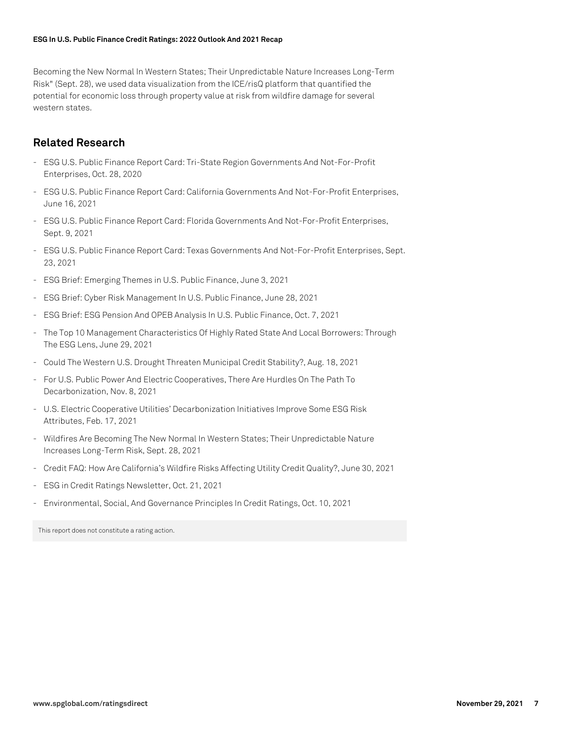### **ESG In U.S. Public Finance Credit Ratings: 2022 Outlook And 2021 Recap**

Becoming the New Normal In Western States; Their Unpredictable Nature Increases Long-Term Risk" (Sept. 28), we used data visualization from the ICE/risQ platform that quantified the potential for economic loss through property value at risk from wildfire damage for several western states.

# **Related Research**

- ESG U.S. Public Finance Report Card: Tri-State Region Governments And Not-For-Profit Enterprises, Oct. 28, 2020
- ESG U.S. Public Finance Report Card: California Governments And Not-For-Profit Enterprises, June 16, 2021
- ESG U.S. Public Finance Report Card: Florida Governments And Not-For-Profit Enterprises, Sept. 9, 2021
- ESG U.S. Public Finance Report Card: Texas Governments And Not-For-Profit Enterprises, Sept. 23, 2021
- ESG Brief: Emerging Themes in U.S. Public Finance, June 3, 2021
- ESG Brief: Cyber Risk Management In U.S. Public Finance, June 28, 2021
- ESG Brief: ESG Pension And OPEB Analysis In U.S. Public Finance, Oct. 7, 2021
- The Top 10 Management Characteristics Of Highly Rated State And Local Borrowers: Through The ESG Lens, June 29, 2021
- Could The Western U.S. Drought Threaten Municipal Credit Stability?, Aug. 18, 2021
- For U.S. Public Power And Electric Cooperatives, There Are Hurdles On The Path To Decarbonization, Nov. 8, 2021
- U.S. Electric Cooperative Utilities' Decarbonization Initiatives Improve Some ESG Risk Attributes, Feb. 17, 2021
- Wildfires Are Becoming The New Normal In Western States; Their Unpredictable Nature Increases Long-Term Risk, Sept. 28, 2021
- Credit FAQ: How Are California's Wildfire Risks Affecting Utility Credit Quality?, June 30, 2021
- ESG in Credit Ratings Newsletter, Oct. 21, 2021
- Environmental, Social, And Governance Principles In Credit Ratings, Oct. 10, 2021

This report does not constitute a rating action.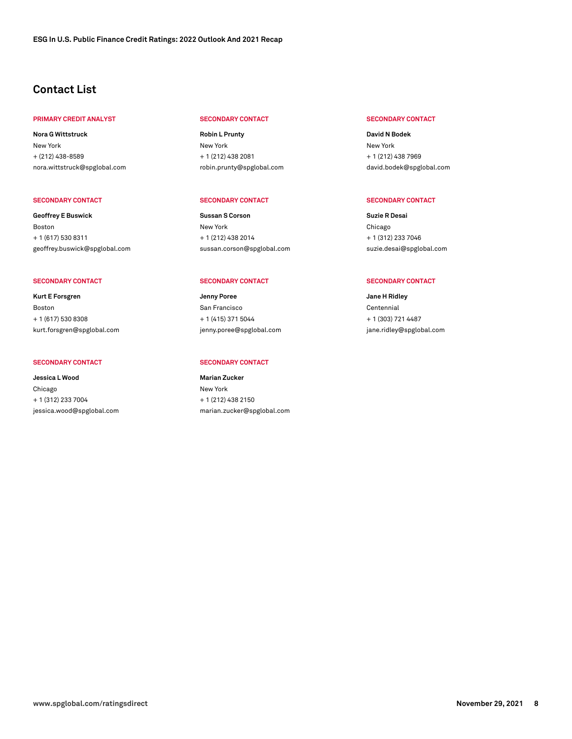# **Contact List**

### **PRIMARY CREDIT ANALYST SECONDARY CONTACT SECONDARY CONTACT**

**Nora G Wittstruck** New York + (212) 438-8589 [nora.wittstruck@spglobal.com](mailto: nora.wittstruck@spglobal.com)

**Geoffrey E Buswick** Boston + 1 (617) 530 8311 [geoffrey.buswick@spglobal.com](mailto: geoffrey.buswick@spglobal.com)

**Kurt E Forsgren** Boston + 1 (617) 530 8308 [kurt.forsgren@spglobal.com](mailto: kurt.forsgren@spglobal.com)

#### SECONDARY CONTACT SECONDARY CONTACT

**Jessica L Wood** Chicago + 1 (312) 233 7004 [jessica.wood@spglobal.com](mailto: jessica.wood@spglobal.com)

**Robin L Prunty** New York + 1 (212) 438 2081 [robin.prunty@spglobal.com](mailto: robin.prunty@spglobal.com)

### **SECONDARY CONTACT SECONDARY CONTACT SECONDARY CONTACT**

**Sussan S Corson** New York + 1 (212) 438 2014 [sussan.corson@spglobal.com](mailto: sussan.corson@spglobal.com)

#### **SECONDARY CONTACT SECONDARY CONTACT SECONDARY CONTACT**

**Jenny Poree** San Francisco + 1 (415) 371 5044 [jenny.poree@spglobal.com](mailto: jenny.poree@spglobal.com)

**Marian Zucker** New York + 1 (212) 438 2150 [marian.zucker@spglobal.com](mailto: marian.zucker@spglobal.com)

**David N Bodek** New York + 1 (212) 438 7969 [david.bodek@spglobal.com](mailto: david.bodek@spglobal.com)

**Suzie R Desai** Chicago + 1 (312) 233 7046 [suzie.desai@spglobal.com](mailto: suzie.desai@spglobal.com)

**Jane H Ridley** Centennial + 1 (303) 721 4487 [jane.ridley@spglobal.com](mailto: jane.ridley@spglobal.com)